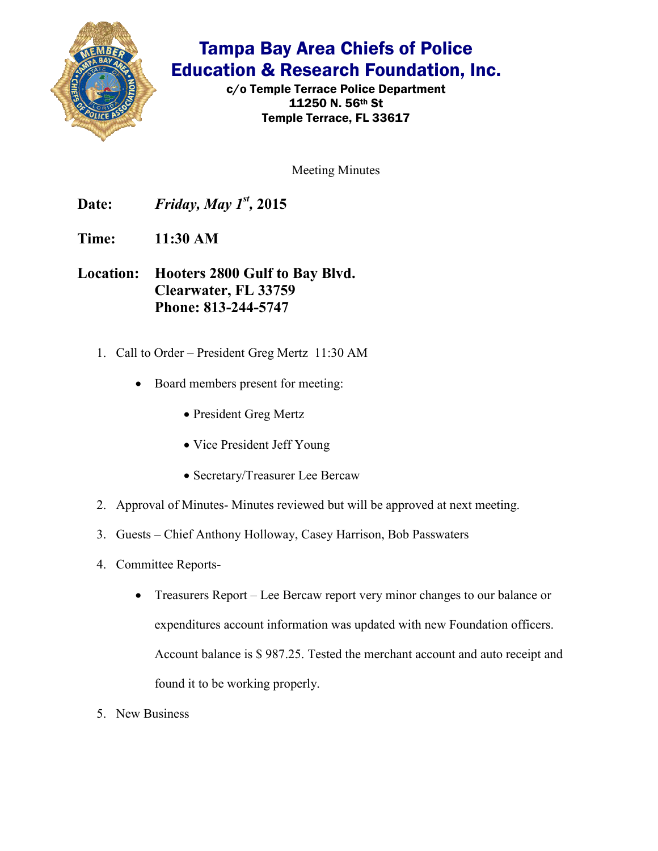

## Tampa Bay Area Chiefs of Police Education & Research Foundation, Inc.

c/o Temple Terrace Police Department 11250 N. 56th St Temple Terrace, FL 33617

Meeting Minutes

**Date:** *Friday, May 1<sup>st</sup>, 2015* 

**Time: 11:30 AM** 

**Location: Hooters 2800 Gulf to Bay Blvd. Clearwater, FL 33759 Phone: 813-244-5747**

- 1. Call to Order President Greg Mertz 11:30 AM
	- Board members present for meeting:
		- President Greg Mertz
		- Vice President Jeff Young
		- Secretary/Treasurer Lee Bercaw
- 2. Approval of Minutes- Minutes reviewed but will be approved at next meeting.
- 3. Guests Chief Anthony Holloway, Casey Harrison, Bob Passwaters
- 4. Committee Reports-
	- Treasurers Report Lee Bercaw report very minor changes to our balance or expenditures account information was updated with new Foundation officers. Account balance is \$ 987.25. Tested the merchant account and auto receipt and found it to be working properly.
- 5. New Business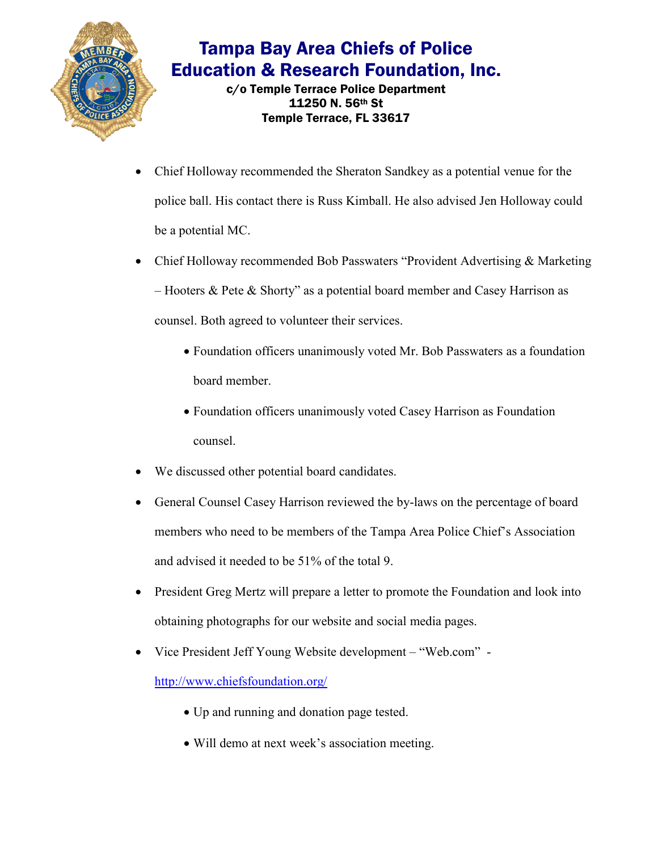

## Tampa Bay Area Chiefs of Police Education & Research Foundation, Inc.

c/o Temple Terrace Police Department 11250 N. 56th St Temple Terrace, FL 33617

- Chief Holloway recommended the Sheraton Sandkey as a potential venue for the police ball. His contact there is Russ Kimball. He also advised Jen Holloway could be a potential MC.
- Chief Holloway recommended Bob Passwaters "Provident Advertising & Marketing" – Hooters & Pete & Shorty" as a potential board member and Casey Harrison as counsel. Both agreed to volunteer their services.
	- Foundation officers unanimously voted Mr. Bob Passwaters as a foundation board member.
	- Foundation officers unanimously voted Casey Harrison as Foundation counsel.
- We discussed other potential board candidates.
- General Counsel Casey Harrison reviewed the by-laws on the percentage of board members who need to be members of the Tampa Area Police Chief's Association and advised it needed to be 51% of the total 9.
- President Greg Mertz will prepare a letter to promote the Foundation and look into obtaining photographs for our website and social media pages.
- Vice President Jeff Young Website development "Web.com" -

http://www.chiefsfoundation.org/

- Up and running and donation page tested.
- Will demo at next week's association meeting.